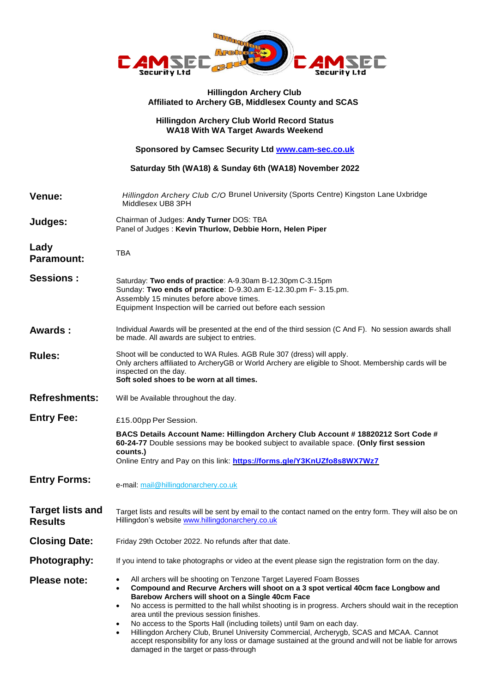

## **Hillingdon Archery Club Affiliated to Archery GB, Middlesex County and SCAS**

## **Hillingdon Archery Club World Record Status WA18 With WA Target Awards Weekend**

**Sponsored by Camsec Security Ltd [www.cam-sec.co.uk](http://www.cam-sec.co.uk/)** 

**Saturday 5th (WA18) & Sunday 6th (WA18) November 2022**

**Venue:** *Hillingdon Archery Club C/O* Brunel University (Sports Centre) Kingston Lane Uxbridge Middlesex UB8 3PH **Judges:** Chairman of Judges: **Andy Turner** DOS: TBA Panel of Judges : **Kevin Thurlow, Debbie Horn, Helen Piper Lady Paramount:** TBA **Sessions :** Saturday: **Two ends of practice**: A-9.30am B-12.30pm C-3.15pm Sunday: **Two ends of practice**: D-9.30.am E-12.30.pm F- 3.15.pm. Assembly 15 minutes before above times. Equipment Inspection will be carried out before each session **Awards :** Individual Awards will be presented at the end of the third session (C And F). No session awards shall be made. All awards are subject to entries. **Rules:** Shoot will be conducted to WA Rules. AGB Rule 307 (dress) will apply. Only archers affiliated to ArcheryGB or World Archery are eligible to Shoot. Membership cards will be inspected on the day. **Soft soled shoes to be worn at all times. Refreshments:** Will be Available throughout the day. **Entry Fee:**  $E15.00$ pp Per Session. **BACS Details Account Name: Hillingdon Archery Club Account # 18820212 Sort Code # 60-24-77** Double sessions may be booked subject to available space. **(Only first session counts.)** Online Entry and Pay on this link: **https://forms.gle/Y3KnUZfo8s8WX7Wz7 Entry Forms:** e-mail: mail@hillingdonarchery.co.uk **Target lists and Results** Target lists and results will be sent by email to the contact named on the entry form. They will also be on Hillingdon's websit[e www.hillingdonarchery.co.uk](http://www.hillingdonarchery.co.uk/) **Closing Date:** Friday 29th October 2022. No refunds after that date. **Photography:** If you intend to take photographs or video at the event please sign the registration form on the day. **Please note:** • All archers will be shooting on Tenzone Target Layered Foam Bosses **Compound and Recurve Archers will shoot on a 3 spot vertical 40cm face Longbow and Barebow Archers will shoot on a Single 40cm Face** No access is permitted to the hall whilst shooting is in progress. Archers should wait in the reception area until the previous session finishes. No access to the Sports Hall (including toilets) until 9am on each day. Hillingdon Archery Club, Brunel University Commercial, Archerygb, SCAS and MCAA. Cannot accept responsibility for any loss or damage sustained at the ground and will not be liable for arrows damaged in the target or pass-through